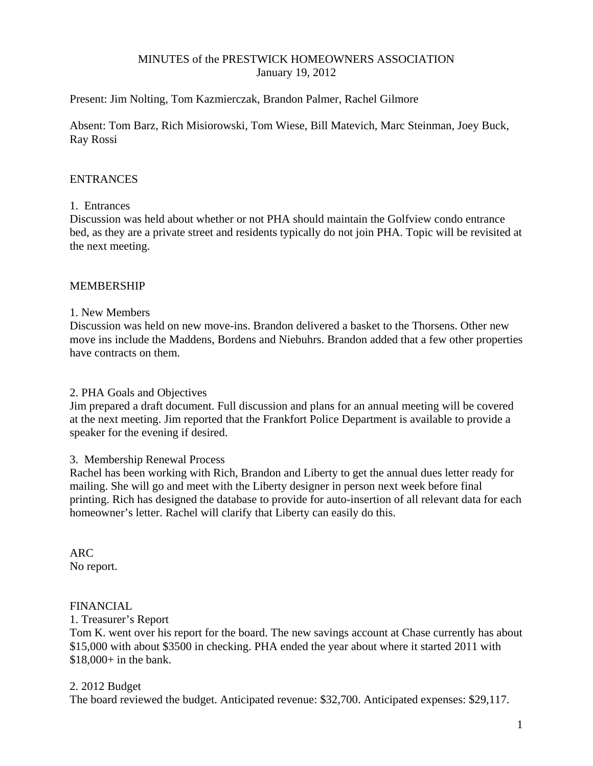# MINUTES of the PRESTWICK HOMEOWNERS ASSOCIATION January 19, 2012

Present: Jim Nolting, Tom Kazmierczak, Brandon Palmer, Rachel Gilmore

Absent: Tom Barz, Rich Misiorowski, Tom Wiese, Bill Matevich, Marc Steinman, Joey Buck, Ray Rossi

## ENTRANCES

### 1. Entrances

Discussion was held about whether or not PHA should maintain the Golfview condo entrance bed, as they are a private street and residents typically do not join PHA. Topic will be revisited at the next meeting.

## MEMBERSHIP

### 1. New Members

Discussion was held on new move-ins. Brandon delivered a basket to the Thorsens. Other new move ins include the Maddens, Bordens and Niebuhrs. Brandon added that a few other properties have contracts on them.

## 2. PHA Goals and Objectives

Jim prepared a draft document. Full discussion and plans for an annual meeting will be covered at the next meeting. Jim reported that the Frankfort Police Department is available to provide a speaker for the evening if desired.

## 3. Membership Renewal Process

Rachel has been working with Rich, Brandon and Liberty to get the annual dues letter ready for mailing. She will go and meet with the Liberty designer in person next week before final printing. Rich has designed the database to provide for auto-insertion of all relevant data for each homeowner's letter. Rachel will clarify that Liberty can easily do this.

ARC No report.

# FINANCIAL

#### 1. Treasurer's Report

Tom K. went over his report for the board. The new savings account at Chase currently has about \$15,000 with about \$3500 in checking. PHA ended the year about where it started 2011 with \$18,000+ in the bank.

## 2. 2012 Budget

The board reviewed the budget. Anticipated revenue: \$32,700. Anticipated expenses: \$29,117.